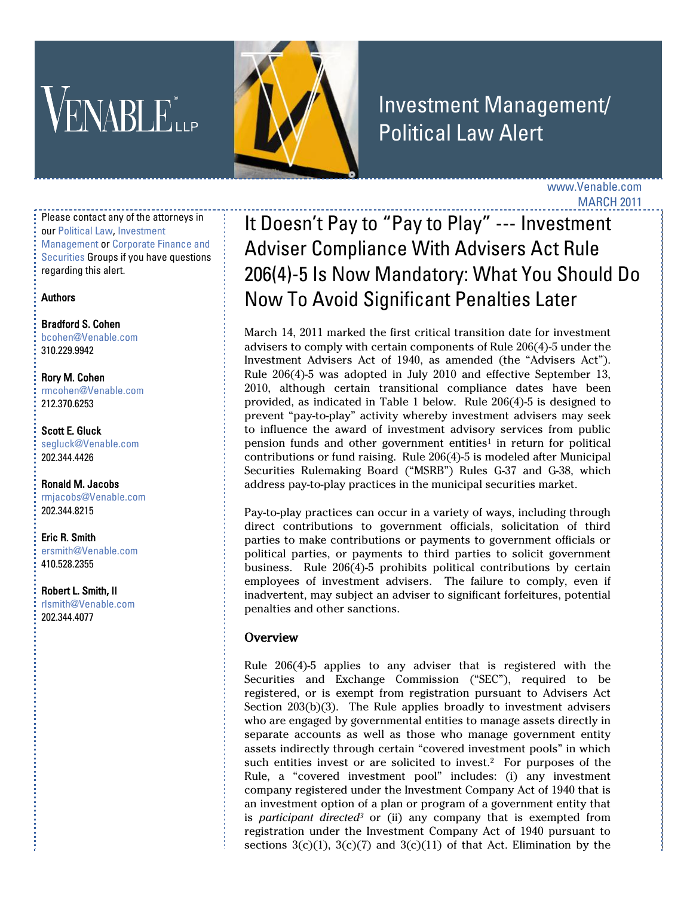# **VENABLE**



# Investment Management/ Political Law Alert

www.Venable.com MARCH 2011

Please contact any of the attorneys in ou[r Political Law,](http://www.venable.com/services/practices/ServiceDetail.aspx?service=264&view=pros) [Investment](http://www.venable.com/services/practices/ServiceDetail.aspx?service=212&view=pros)  [Management](http://www.venable.com/services/practices/ServiceDetail.aspx?service=212&view=pros) o[r Corporate Finance and](http://www.venable.com/services/practices/ServiceDetail.aspx?service=118&view=pros)  [Securities](http://www.venable.com/services/practices/ServiceDetail.aspx?service=118&view=pros) Groups if you have questions regarding this alert.

#### Authors

[Bradford S. Cohen](http://www.venable.com/bradford-s-cohen/)  [bcohen@Venable.com](mailto:bcohen@Venable.com) 310.229.9942

[Rory M. Cohen](http://www.venable.com/rory-m-cohen/)  [rmcohen@Venable.com](mailto:rmcohen@Venable.com) 212.370.6253

[Scott E. Gluck](http://www.venable.com/scott-e-gluck/)  [segluck@Venable.com](mailto:segluck@Venable.com) 202.344.4426

[Ronald M. Jacobs](http://www.venable.com/ronald-m-jacobs/)  [rmjacobs@Venable.com](mailto:rmjacobs@Venable.com) 202.344.8215

[Eric R. Smith](http://www.venable.com/eric-r-smith/) [ersmith@Venable.com](mailto:ersmith@Venable.com) 410.528.2355

[Robert L. Smith, II](http://www.venable.com/robert-l-smith/)  [rlsmith@Venable.com](mailto:rlsmith@Venable.com) 202.344.4077

# It Doesn't Pay to "Pay to Play" --- Investment Adviser Compliance With Advisers Act Rule 206(4)-5 Is Now Mandatory: What You Should Do Now To Avoid Significant Penalties Later

March 14, 2011 marked the first critical transition date for investment advisers to comply with certain components of Rule 206(4)-5 under the Investment Advisers Act of 1940, as amended (the "Advisers Act"). Rule 206(4)-5 was adopted in July 2010 and effective September 13, 2010, although certain transitional compliance dates have been provided, as indicated in Table 1 below. Rule 206(4)-5 is designed to prevent "pay-to-play" activity whereby investment advisers may seek to influence the award of investment advisory services from public pension funds and other government entities<sup>1</sup> in return for political contributions or fund raising. Rule 206(4)-5 is modeled after Municipal Securities Rulemaking Board ("MSRB") Rules G-37 and G-38, which address pay-to-play practices in the municipal securities market.

Pay-to-play practices can occur in a variety of ways, including through direct contributions to government officials, solicitation of third parties to make contributions or payments to government officials or political parties, or payments to third parties to solicit government business. Rule 206(4)-5 prohibits political contributions by certain employees of investment advisers. The failure to comply, even if inadvertent, may subject an adviser to significant forfeitures, potential penalties and other sanctions.

# Overview

Rule 206(4)-5 applies to any adviser that is registered with the Securities and Exchange Commission ("SEC"), required to be registered, or is exempt from registration pursuant to Advisers Act Section 203(b)(3). The Rule applies broadly to investment advisers who are engaged by governmental entities to manage assets directly in separate accounts as well as those who manage government entity assets indirectly through certain "covered investment pools" in which such entities invest or are solicited to invest.2 For purposes of the Rule, a "covered investment pool" includes: (i) any investment company registered under the Investment Company Act of 1940 that is an investment option of a plan or program of a government entity that is *participant directed<sup>3</sup>* or (ii) any company that is exempted from registration under the Investment Company Act of 1940 pursuant to sections  $3(c)(1)$ ,  $3(c)(7)$  and  $3(c)(11)$  of that Act. Elimination by the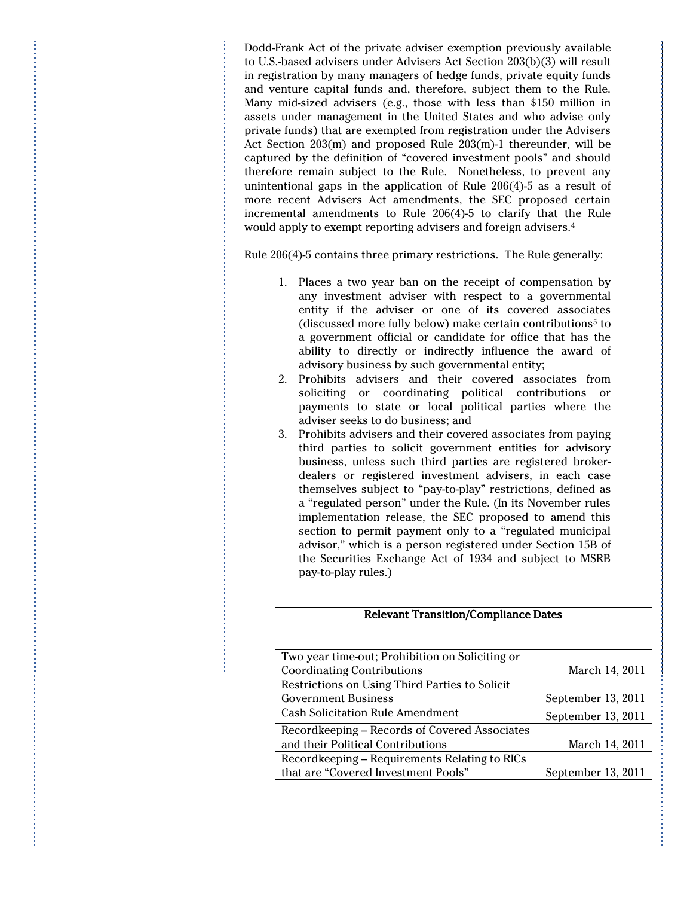Dodd-Frank Act of the private adviser exemption previously available to U.S.-based advisers under Advisers Act Section 203(b)(3) will result in registration by many managers of hedge funds, private equity funds and venture capital funds and, therefore, subject them to the Rule. Many mid-sized advisers (e.g., those with less than \$150 million in assets under management in the United States and who advise only private funds) that are exempted from registration under the Advisers Act Section 203(m) and proposed Rule 203(m)-1 thereunder, will be captured by the definition of "covered investment pools" and should therefore remain subject to the Rule. Nonetheless, to prevent any unintentional gaps in the application of Rule 206(4)-5 as a result of more recent Advisers Act amendments, the SEC proposed certain incremental amendments to Rule 206(4)-5 to clarify that the Rule would apply to exempt reporting advisers and foreign advisers.<sup>4</sup>

Rule 206(4)-5 contains three primary restrictions. The Rule generally:

- 1. Places a two year ban on the receipt of compensation by any investment adviser with respect to a governmental entity if the adviser or one of its covered associates (discussed more fully below) make certain contributions<sup>5</sup> to a government official or candidate for office that has the ability to directly or indirectly influence the award of advisory business by such governmental entity;
- 2. Prohibits advisers and their covered associates from soliciting or coordinating political contributions or payments to state or local political parties where the adviser seeks to do business; and
- 3. Prohibits advisers and their covered associates from paying third parties to solicit government entities for advisory business, unless such third parties are registered brokerdealers or registered investment advisers, in each case themselves subject to "pay-to-play" restrictions, defined as a "regulated person" under the Rule. (In its November rules implementation release, the SEC proposed to amend this section to permit payment only to a "regulated municipal advisor," which is a person registered under Section 15B of the Securities Exchange Act of 1934 and subject to MSRB pay-to-play rules.)

| Two year time-out; Prohibition on Soliciting or |                    |
|-------------------------------------------------|--------------------|
| <b>Coordinating Contributions</b>               | March 14, 2011     |
| Restrictions on Using Third Parties to Solicit  |                    |
| <b>Government Business</b>                      | September 13, 2011 |
| <b>Cash Solicitation Rule Amendment</b>         | September 13, 2011 |
| Recordkeeping - Records of Covered Associates   |                    |
| and their Political Contributions               | March 14, 2011     |
| Recordkeeping – Requirements Relating to RICs   |                    |
| that are "Covered Investment Pools"             | September 13, 2011 |

Relevant Transition/Compliance Dates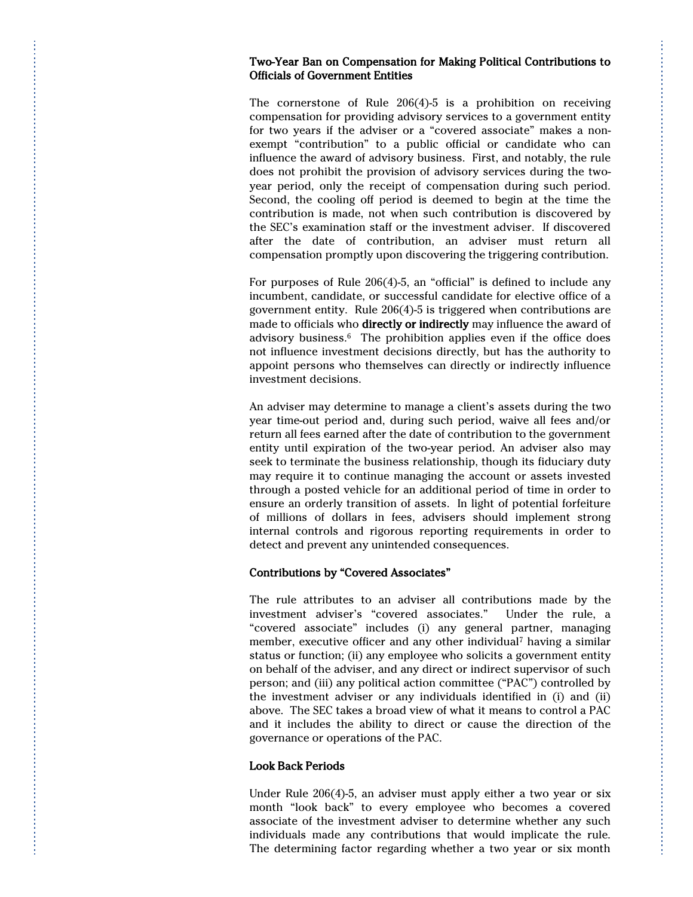#### Two-Year Ban on Compensation for Making Political Contributions to Officials of Government Entities

The cornerstone of Rule 206(4)-5 is a prohibition on receiving compensation for providing advisory services to a government entity for two years if the adviser or a "covered associate" makes a nonexempt "contribution" to a public official or candidate who can influence the award of advisory business. First, and notably, the rule does not prohibit the provision of advisory services during the twoyear period, only the receipt of compensation during such period. Second, the cooling off period is deemed to begin at the time the contribution is made, not when such contribution is discovered by the SEC's examination staff or the investment adviser. If discovered after the date of contribution, an adviser must return all compensation promptly upon discovering the triggering contribution.

For purposes of Rule 206(4)-5, an "official" is defined to include any incumbent, candidate, or successful candidate for elective office of a government entity. Rule 206(4)-5 is triggered when contributions are made to officials who directly or indirectly may influence the award of advisory business.6 The prohibition applies even if the office does not influence investment decisions directly, but has the authority to appoint persons who themselves can directly or indirectly influence investment decisions.

An adviser may determine to manage a client's assets during the two year time-out period and, during such period, waive all fees and/or return all fees earned after the date of contribution to the government entity until expiration of the two-year period. An adviser also may seek to terminate the business relationship, though its fiduciary duty may require it to continue managing the account or assets invested through a posted vehicle for an additional period of time in order to ensure an orderly transition of assets. In light of potential forfeiture of millions of dollars in fees, advisers should implement strong internal controls and rigorous reporting requirements in order to detect and prevent any unintended consequences.

#### Contributions by "Covered Associates"

The rule attributes to an adviser all contributions made by the investment adviser's "covered associates." Under the rule, a "covered associate" includes (i) any general partner, managing member, executive officer and any other individual<sup>7</sup> having a similar status or function; (ii) any employee who solicits a government entity on behalf of the adviser, and any direct or indirect supervisor of such person; and (iii) any political action committee ("PAC") controlled by the investment adviser or any individuals identified in (i) and (ii) above. The SEC takes a broad view of what it means to control a PAC and it includes the ability to direct or cause the direction of the governance or operations of the PAC.

#### Look Back Periods

Under Rule 206(4)-5, an adviser must apply either a two year or six month "look back" to every employee who becomes a covered associate of the investment adviser to determine whether any such individuals made any contributions that would implicate the rule. The determining factor regarding whether a two year or six month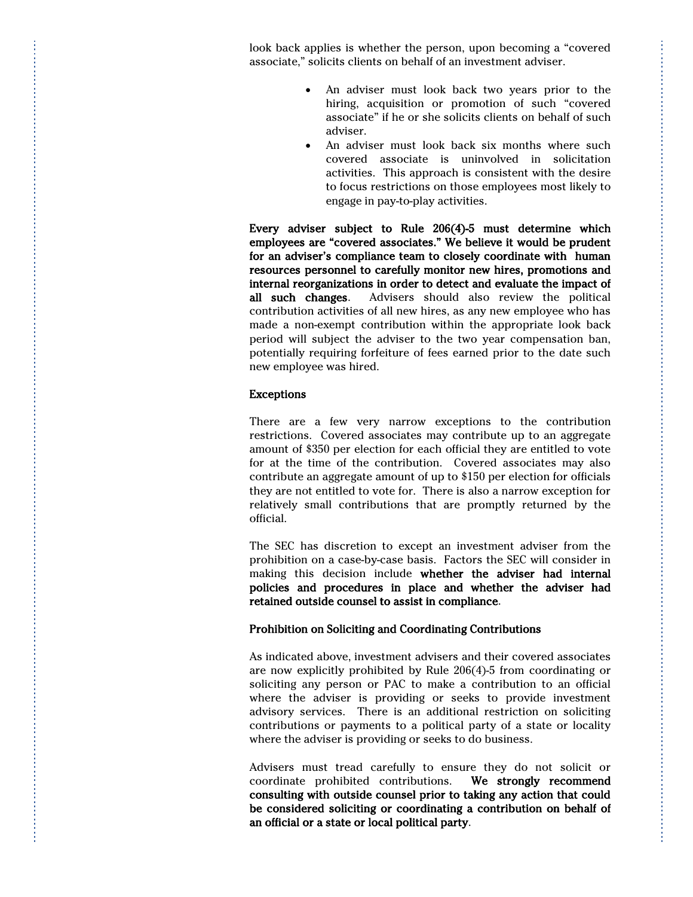look back applies is whether the person, upon becoming a "covered associate," solicits clients on behalf of an investment adviser.

- An adviser must look back two years prior to the hiring, acquisition or promotion of such "covered associate" if he or she solicits clients on behalf of such adviser.
- An adviser must look back six months where such covered associate is uninvolved in solicitation activities. This approach is consistent with the desire to focus restrictions on those employees most likely to engage in pay-to-play activities.

Every adviser subject to Rule 206(4)-5 must determine which employees are "covered associates." We believe it would be prudent for an adviser's compliance team to closely coordinate with human resources personnel to carefully monitor new hires, promotions and internal reorganizations in order to detect and evaluate the impact of all such changes. Advisers should also review the political contribution activities of all new hires, as any new employee who has made a non-exempt contribution within the appropriate look back period will subject the adviser to the two year compensation ban, potentially requiring forfeiture of fees earned prior to the date such new employee was hired.

## Exceptions

There are a few very narrow exceptions to the contribution restrictions. Covered associates may contribute up to an aggregate amount of \$350 per election for each official they are entitled to vote for at the time of the contribution. Covered associates may also contribute an aggregate amount of up to \$150 per election for officials they are not entitled to vote for. There is also a narrow exception for relatively small contributions that are promptly returned by the official.

The SEC has discretion to except an investment adviser from the prohibition on a case-by-case basis. Factors the SEC will consider in making this decision include whether the adviser had internal policies and procedures in place and whether the adviser had retained outside counsel to assist in compliance.

## Prohibition on Soliciting and Coordinating Contributions

As indicated above, investment advisers and their covered associates are now explicitly prohibited by Rule 206(4)-5 from coordinating or soliciting any person or PAC to make a contribution to an official where the adviser is providing or seeks to provide investment advisory services. There is an additional restriction on soliciting contributions or payments to a political party of a state or locality where the adviser is providing or seeks to do business.

Advisers must tread carefully to ensure they do not solicit or coordinate prohibited contributions. We strongly recommend consulting with outside counsel prior to taking any action that could be considered soliciting or coordinating a contribution on behalf of an official or a state or local political party.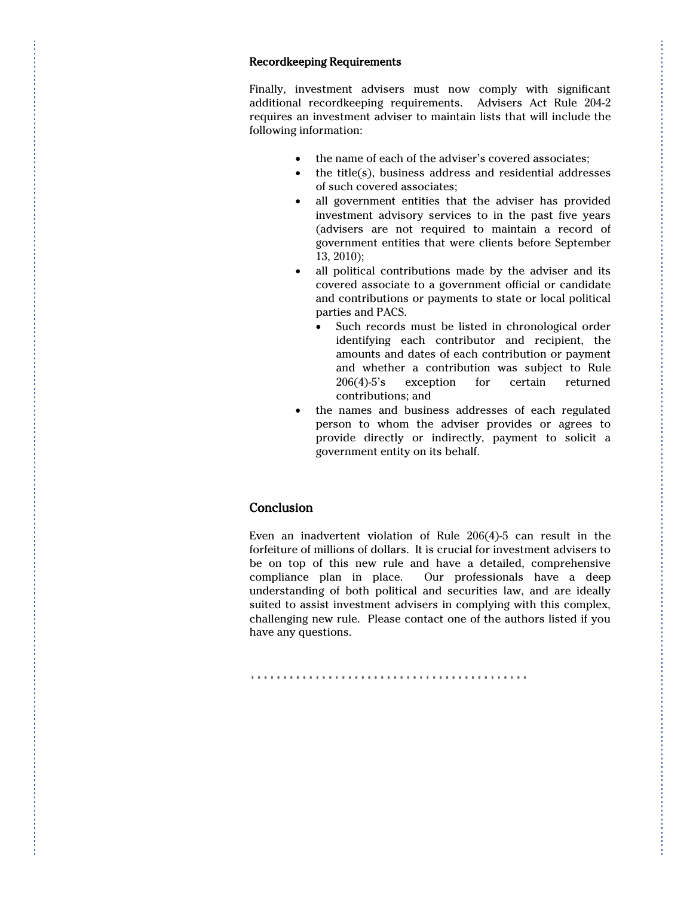#### Recordkeeping Requirements

Finally, investment advisers must now comply with significant additional recordkeeping requirements. Advisers Act Rule 204-2 requires an investment adviser to maintain lists that will include the following information:

- the name of each of the adviser's covered associates;
- the title(s), business address and residential addresses of such covered associates;
- all government entities that the adviser has provided investment advisory services to in the past five years (advisers are not required to maintain a record of government entities that were clients before September 13, 2010);
- all political contributions made by the adviser and its covered associate to a government official or candidate and contributions or payments to state or local political parties and PACS.
	- Such records must be listed in chronological order identifying each contributor and recipient, the amounts and dates of each contribution or payment and whether a contribution was subject to Rule 206(4)-5's exception for certain returned contributions; and
- the names and business addresses of each regulated person to whom the adviser provides or agrees to provide directly or indirectly, payment to solicit a government entity on its behalf.

## Conclusion

Even an inadvertent violation of Rule 206(4)-5 can result in the forfeiture of millions of dollars. It is crucial for investment advisers to be on top of this new rule and have a detailed, comprehensive compliance plan in place. Our professionals have a deep understanding of both political and securities law, and are ideally suited to assist investment advisers in complying with this complex, challenging new rule. Please contact one of the authors listed if you have any questions.